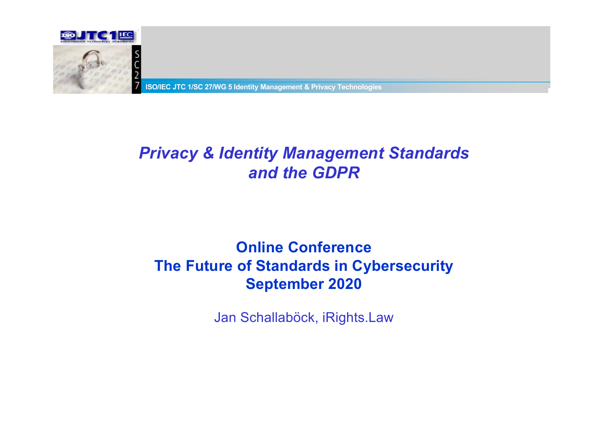

**ISO/IEC JTC 1/SC 27/WG 5 Identity Management & Privacy Technologies** 

#### *Privacy & Identity Management Standards and the GDPR*

#### **Online Conference The Future of Standards in Cybersecurity September 2020**

Jan Schallaböck, iRights.Law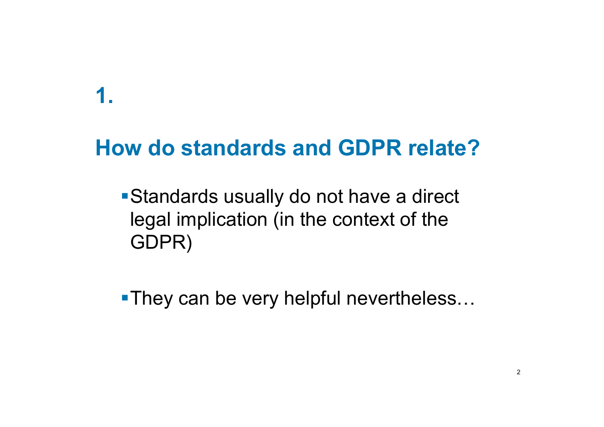## **1.**

# **How do standards and GDPR relate?**

■ Standards usually do not have a direct legal implication (in the context of the GDPR)

**•They can be very helpful nevertheless...**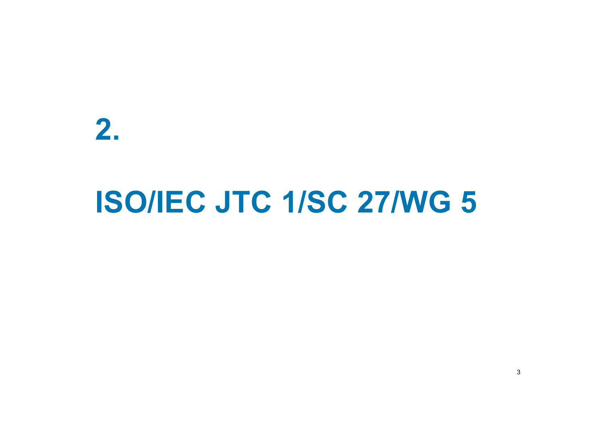**2.**

# **ISO/IEC JTC 1/SC 27/WG 5**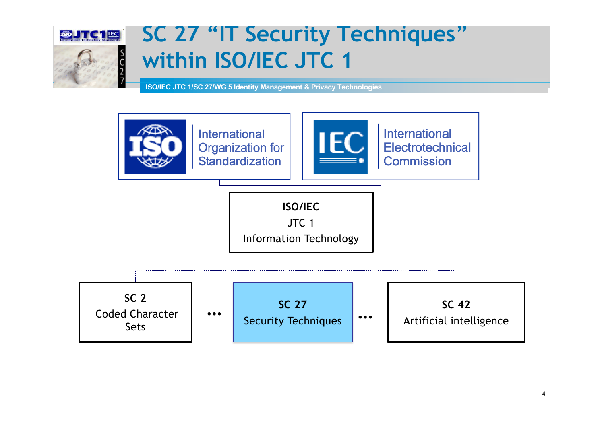

# **SC 27 "IT Security Techniques" within ISO/IEC JTC 1**

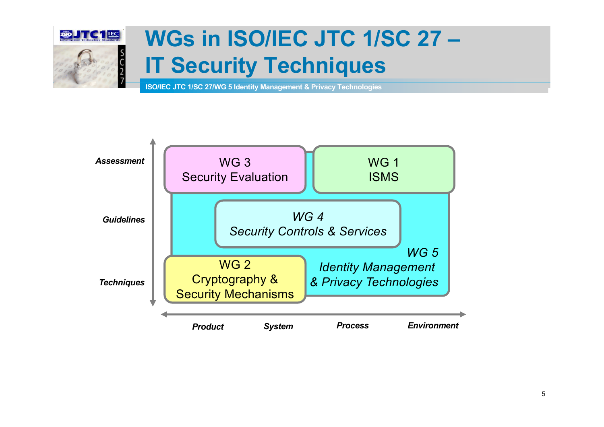

# **WGs in ISO/IEC JTC 1/SC 27 – IT Security Techniques**

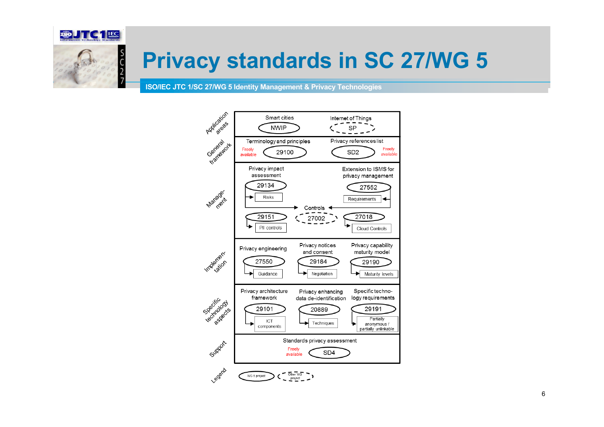

# **Privacy standards in SC 27/WG 5**

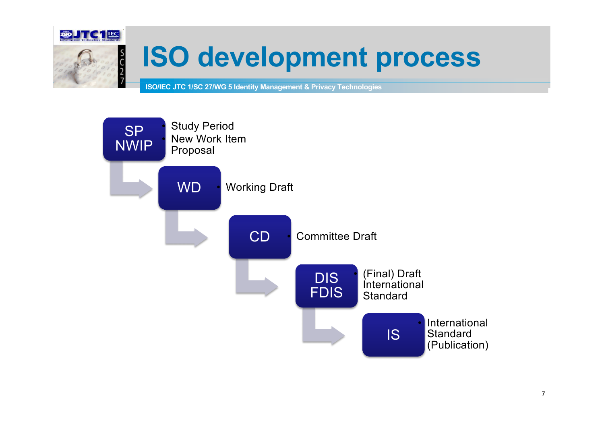

# **ISO development process**

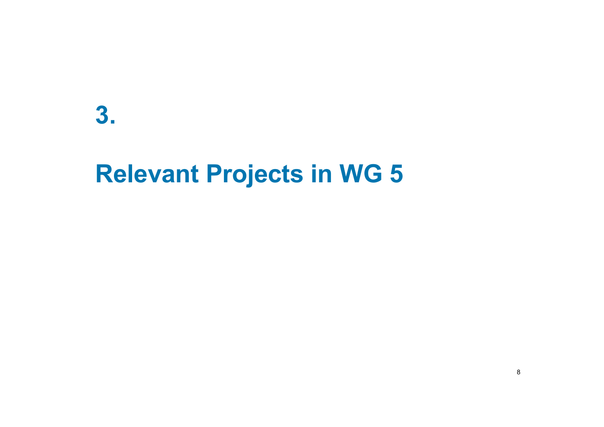**3.** 

# **Relevant Projects in WG 5**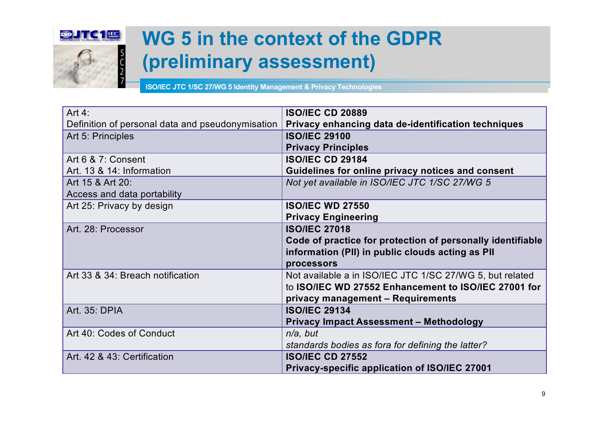

# **WG 5 in the context of the GDPR (preliminary assessment)**

| Art $4:$                                         | <b>ISO/IEC CD 20889</b>                                    |
|--------------------------------------------------|------------------------------------------------------------|
| Definition of personal data and pseudonymisation | Privacy enhancing data de-identification techniques        |
| Art 5: Principles                                | <b>ISO/IEC 29100</b>                                       |
|                                                  | <b>Privacy Principles</b>                                  |
| Art 6 & 7: Consent                               | <b>ISO/IEC CD 29184</b>                                    |
| Art. 13 & 14: Information                        | Guidelines for online privacy notices and consent          |
| Art 15 & Art 20:                                 | Not yet available in ISO/IEC JTC 1/SC 27/WG 5              |
| Access and data portability                      |                                                            |
| Art 25: Privacy by design                        | <b>ISO/IEC WD 27550</b>                                    |
|                                                  | <b>Privacy Engineering</b>                                 |
| Art. 28: Processor                               | <b>ISO/IEC 27018</b>                                       |
|                                                  | Code of practice for protection of personally identifiable |
|                                                  | information (PII) in public clouds acting as PII           |
|                                                  | processors                                                 |
| Art 33 & 34: Breach notification                 | Not available a in ISO/IEC JTC 1/SC 27/WG 5, but related   |
|                                                  | to ISO/IEC WD 27552 Enhancement to ISO/IEC 27001 for       |
|                                                  | privacy management - Requirements                          |
| Art. 35: DPIA                                    | <b>ISO/IEC 29134</b>                                       |
|                                                  | <b>Privacy Impact Assessment - Methodology</b>             |
| Art 40: Codes of Conduct                         | $n/a$ , but                                                |
|                                                  | standards bodies as fora for defining the latter?          |
| Art. 42 & 43: Certification                      | <b>ISO/IEC CD 27552</b>                                    |
|                                                  | Privacy-specific application of ISO/IEC 27001              |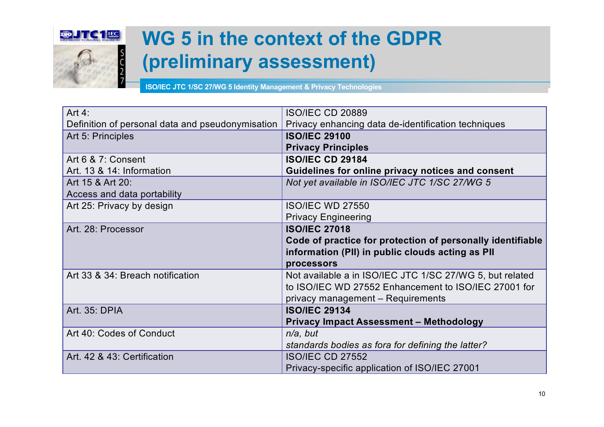

# **WG 5 in the context of the GDPR (preliminary assessment)**

| Art $4:$                                         | <b>ISO/IEC CD 20889</b>                                    |
|--------------------------------------------------|------------------------------------------------------------|
| Definition of personal data and pseudonymisation | Privacy enhancing data de-identification techniques        |
| Art 5: Principles                                | <b>ISO/IEC 29100</b>                                       |
|                                                  | <b>Privacy Principles</b>                                  |
| Art 6 & 7: Consent                               | <b>ISO/IEC CD 29184</b>                                    |
| Art. 13 & 14: Information                        | Guidelines for online privacy notices and consent          |
| Art 15 & Art 20:                                 | Not yet available in ISO/IEC JTC 1/SC 27/WG 5              |
| Access and data portability                      |                                                            |
| Art 25: Privacy by design                        | <b>ISO/IEC WD 27550</b>                                    |
|                                                  | <b>Privacy Engineering</b>                                 |
| Art. 28: Processor                               | <b>ISO/IEC 27018</b>                                       |
|                                                  | Code of practice for protection of personally identifiable |
|                                                  | information (PII) in public clouds acting as PII           |
|                                                  | processors                                                 |
| Art 33 & 34: Breach notification                 | Not available a in ISO/IEC JTC 1/SC 27/WG 5, but related   |
|                                                  | to ISO/IEC WD 27552 Enhancement to ISO/IEC 27001 for       |
|                                                  | privacy management - Requirements                          |
| Art. 35: DPIA                                    | <b>ISO/IEC 29134</b>                                       |
|                                                  | <b>Privacy Impact Assessment - Methodology</b>             |
| Art 40: Codes of Conduct                         | $n/a$ , but                                                |
|                                                  | standards bodies as fora for defining the latter?          |
| Art. 42 & 43: Certification                      | <b>ISO/IEC CD 27552</b>                                    |
|                                                  | Privacy-specific application of ISO/IEC 27001              |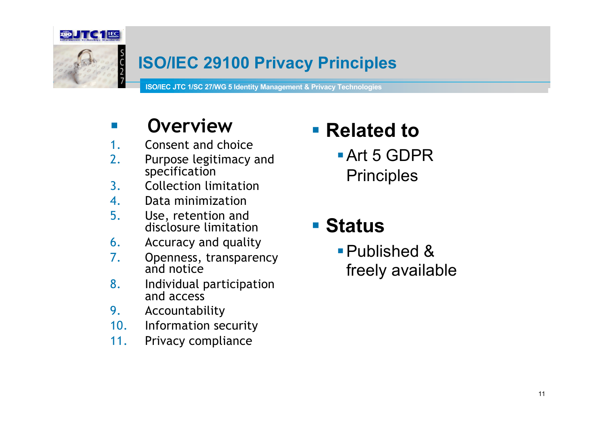

#### **ISO/IEC 29100 Privacy Principles**

**ISO/IEC JTC 1/SC 27/WG 5 Identity Management & Privacy Technologies** 

### **E** Overview

- 1. Consent and choice
- 2. Purpose legitimacy and specification
- 3. Collection limitation
- 4. Data minimization
- 5. Use, retention and disclosure limitation
- 6. Accuracy and quality
- 7. Openness, transparency and notice
- 8. Individual participation and access
- 9. Accountability
- 10. Information security
- 11. Privacy compliance

# § **Related to**

§Art 5 GDPR **Principles** 

### § **Status**

■ Published & freely available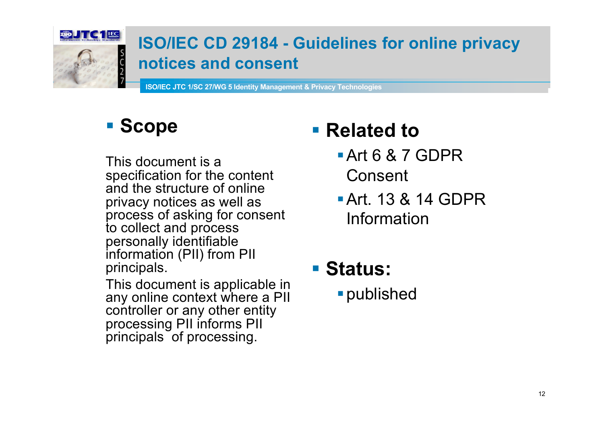

#### **ISO/IEC CD 29184 - Guidelines for online privacy notices and consent**

**ISO/IEC JTC 1/SC 27/WG 5 Identity Management & Privacy Technologies** 

## § **Scope**

This document is a specification for the content and the structure of online privacy notices as well as process of asking for consent to collect and process personally identifiable information (PII) from PII principals.

This document is applicable in any online context where a PII controller or any other entity processing PII informs PII principals of processing.

# § **Related to**

- §Art 6 & 7 GDPR Consent
- §Art. 13 & 14 GDPR Information
- § **Status:**
	- §published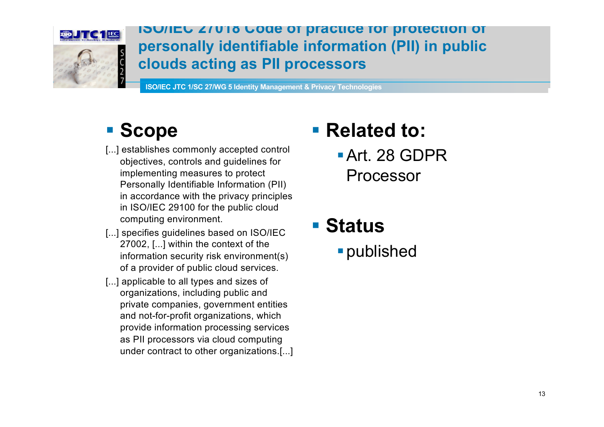

**ISO/IEC 27018 Code of practice for protection of personally identifiable information (PII) in public clouds acting as PII processors**

**ISO/IEC JTC 1/SC 27/WG 5 Identity Management & Privacy Technologies** 

#### § **Scope**

- [...] establishes commonly accepted control objectives, controls and guidelines for implementing measures to protect Personally Identifiable Information (PII) in accordance with the privacy principles in ISO/IEC 29100 for the public cloud computing environment.
- [...] specifies quidelines based on ISO/IEC 27002, [...] within the context of the information security risk environment(s) of a provider of public cloud services.
- [...] applicable to all types and sizes of organizations, including public and private companies, government entities and not-for-profit organizations, which provide information processing services as PII processors via cloud computing under contract to other organizations.[...]

# § **Related to:**

§Art. 28 GDPR Processor

### § **Status**

§published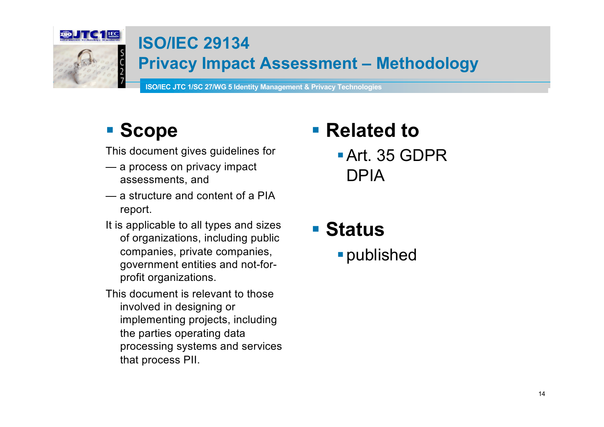

#### **ISO/IEC 29134**

#### **Privacy Impact Assessment – Methodology**

**ISO/IEC JTC 1/SC 27/WG 5 Identity Management & Privacy Technologies** 

## § **Scope**

This document gives guidelines for

- a process on privacy impact assessments, and
- a structure and content of a PIA report.
- It is applicable to all types and sizes of organizations, including public companies, private companies, government entities and not-forprofit organizations.
- This document is relevant to those involved in designing or implementing projects, including the parties operating data processing systems and services that process PII.

# § **Related to**

§Art. 35 GDPR DPIA

§ **Status** §published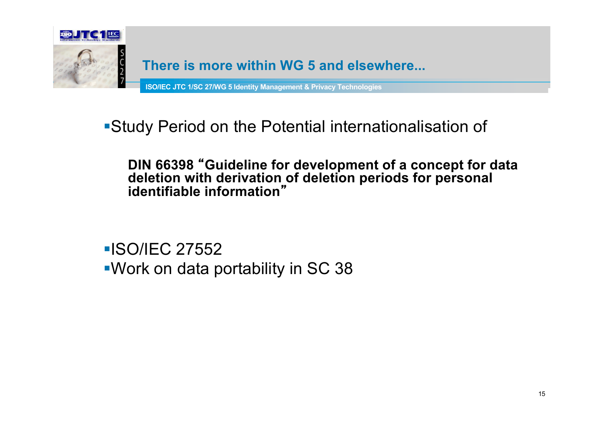

#### **There is more within WG 5 and elsewhere...**

**ISO/IEC JTC 1/SC 27/WG 5 Identity Management & Privacy Technologies** 

§Study Period on the Potential internationalisation of

#### **DIN 66398** "**Guideline for development of a concept for data deletion with derivation of deletion periods for personal identifiable information**"

§ISO/IEC 27552 §Work on data portability in SC 38